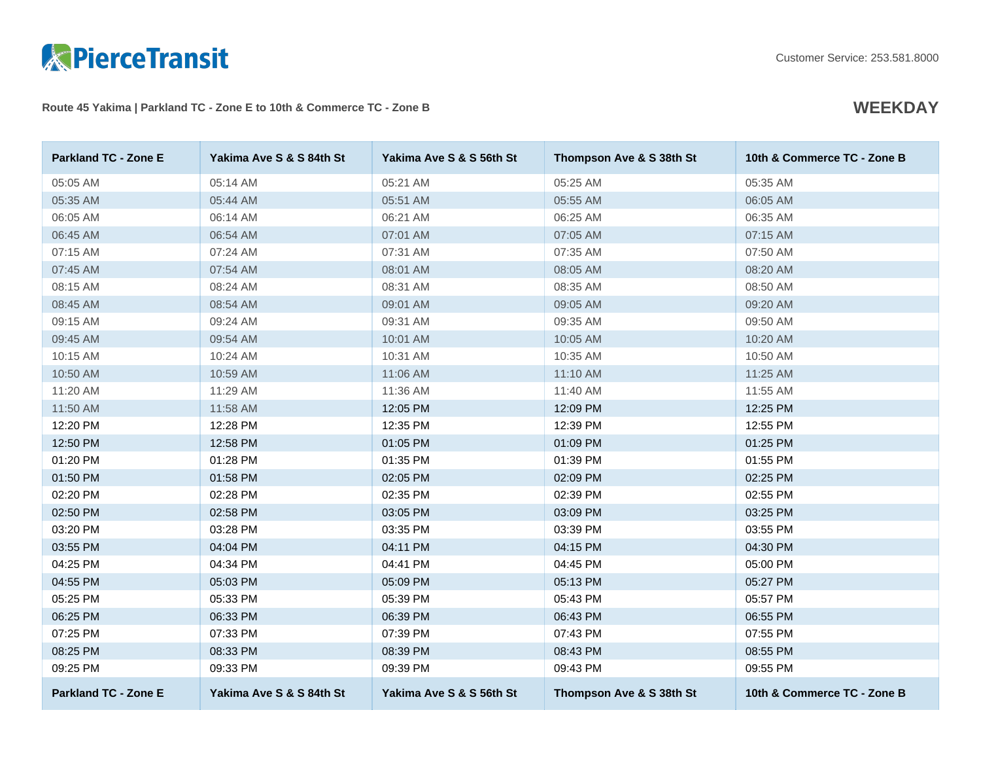

Route 45 Yakima | Parkland TC - Zone E to 10th & Commerce TC - Zone B **WEEKDAY** 

| <b>Parkland TC - Zone E</b> | Yakima Ave S & S 84th St | Yakima Ave S & S 56th St | Thompson Ave & S 38th St | 10th & Commerce TC - Zone B |
|-----------------------------|--------------------------|--------------------------|--------------------------|-----------------------------|
| 05:05 AM                    | 05:14 AM                 | 05:21 AM                 | 05:25 AM                 | 05:35 AM                    |
| 05:35 AM                    | 05:44 AM                 | 05:51 AM                 | 05:55 AM                 | 06:05 AM                    |
| 06:05 AM                    | 06:14 AM                 | 06:21 AM                 | 06:25 AM                 | 06:35 AM                    |
| 06:45 AM                    | 06:54 AM                 | 07:01 AM                 | 07:05 AM                 | 07:15 AM                    |
| 07:15 AM                    | 07:24 AM                 | 07:31 AM                 | 07:35 AM                 | 07:50 AM                    |
| 07:45 AM                    | 07:54 AM                 | 08:01 AM                 | 08:05 AM                 | 08:20 AM                    |
| 08:15 AM                    | 08:24 AM                 | 08:31 AM                 | 08:35 AM                 | 08:50 AM                    |
| 08:45 AM                    | 08:54 AM                 | 09:01 AM                 | 09:05 AM                 | 09:20 AM                    |
| 09:15 AM                    | 09:24 AM                 | 09:31 AM                 | 09:35 AM                 | 09:50 AM                    |
| 09:45 AM                    | 09:54 AM                 | 10:01 AM                 | 10:05 AM                 | 10:20 AM                    |
| 10:15 AM                    | 10:24 AM                 | 10:31 AM                 | 10:35 AM                 | 10:50 AM                    |
| 10:50 AM                    | 10:59 AM                 | 11:06 AM                 | 11:10 AM                 | 11:25 AM                    |
| 11:20 AM                    | 11:29 AM                 | 11:36 AM                 | 11:40 AM                 | 11:55 AM                    |
| 11:50 AM                    | 11:58 AM                 | 12:05 PM                 | 12:09 PM                 | 12:25 PM                    |
| 12:20 PM                    | 12:28 PM                 | 12:35 PM                 | 12:39 PM                 | 12:55 PM                    |
| 12:50 PM                    | 12:58 PM                 | 01:05 PM                 | 01:09 PM                 | 01:25 PM                    |
| 01:20 PM                    | 01:28 PM                 | 01:35 PM                 | 01:39 PM                 | 01:55 PM                    |
| 01:50 PM                    | 01:58 PM                 | 02:05 PM                 | 02:09 PM                 | 02:25 PM                    |
| 02:20 PM                    | 02:28 PM                 | 02:35 PM                 | 02:39 PM                 | 02:55 PM                    |
| 02:50 PM                    | 02:58 PM                 | 03:05 PM                 | 03:09 PM                 | 03:25 PM                    |
| 03:20 PM                    | 03:28 PM                 | 03:35 PM                 | 03:39 PM                 | 03:55 PM                    |
| 03:55 PM                    | 04:04 PM                 | 04:11 PM                 | 04:15 PM                 | 04:30 PM                    |
| 04:25 PM                    | 04:34 PM                 | 04:41 PM                 | 04:45 PM                 | 05:00 PM                    |
| 04:55 PM                    | 05:03 PM                 | 05:09 PM                 | 05:13 PM                 | 05:27 PM                    |
| 05:25 PM                    | 05:33 PM                 | 05:39 PM                 | 05:43 PM                 | 05:57 PM                    |
| 06:25 PM                    | 06:33 PM                 | 06:39 PM                 | 06:43 PM                 | 06:55 PM                    |
| 07:25 PM                    | 07:33 PM                 | 07:39 PM                 | 07:43 PM                 | 07:55 PM                    |
| 08:25 PM                    | 08:33 PM                 | 08:39 PM                 | 08:43 PM                 | 08:55 PM                    |
| 09:25 PM                    | 09:33 PM                 | 09:39 PM                 | 09:43 PM                 | 09:55 PM                    |
| <b>Parkland TC - Zone E</b> | Yakima Ave S & S 84th St | Yakima Ave S & S 56th St | Thompson Ave & S 38th St | 10th & Commerce TC - Zone B |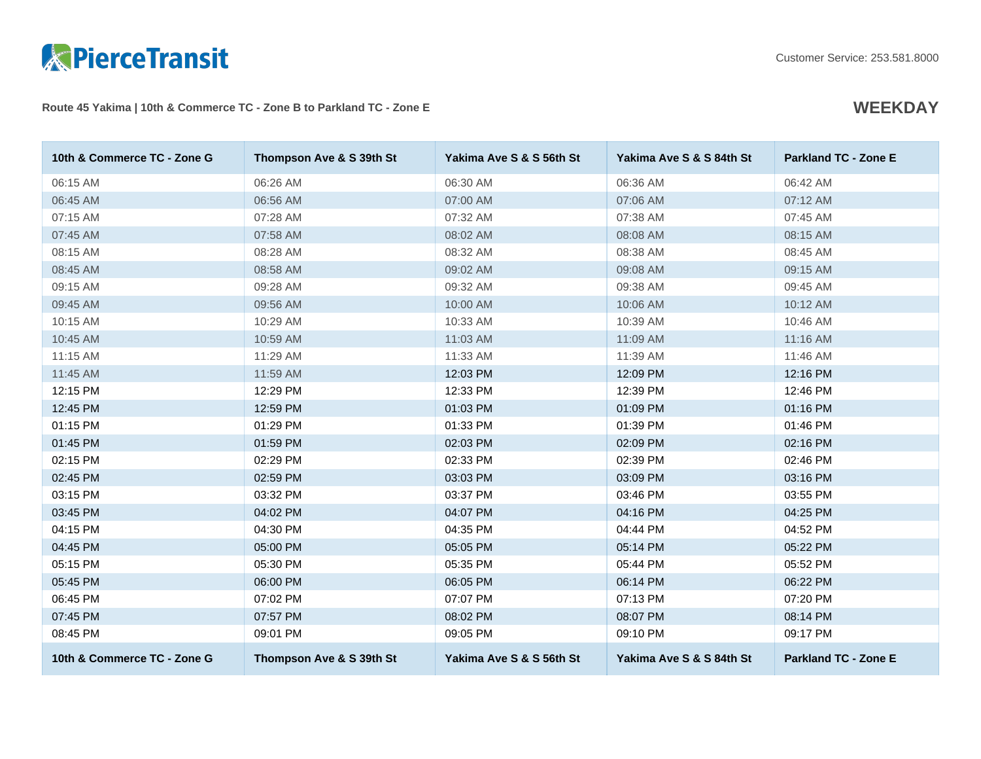

### Route 45 Yakima | 10th & Commerce TC - Zone B to Parkland TC - Zone E **WEEKDAY**

| 10th & Commerce TC - Zone G | Thompson Ave & S 39th St | Yakima Ave S & S 56th St | Yakima Ave S & S 84th St | <b>Parkland TC - Zone E</b> |
|-----------------------------|--------------------------|--------------------------|--------------------------|-----------------------------|
| 06:15 AM                    | 06:26 AM                 | 06:30 AM                 | 06:36 AM                 | 06:42 AM                    |
| 06:45 AM                    | 06:56 AM                 | 07:00 AM                 | 07:06 AM                 | 07:12 AM                    |
| 07:15 AM                    | 07:28 AM                 | 07:32 AM                 | 07:38 AM                 | 07:45 AM                    |
| 07:45 AM                    | 07:58 AM                 | 08:02 AM                 | 08:08 AM                 | 08:15 AM                    |
| 08:15 AM                    | 08:28 AM                 | 08:32 AM                 | 08:38 AM                 | 08:45 AM                    |
| 08:45 AM                    | 08:58 AM                 | 09:02 AM                 | 09:08 AM                 | 09:15 AM                    |
| 09:15 AM                    | 09:28 AM                 | 09:32 AM                 | 09:38 AM                 | 09:45 AM                    |
| 09:45 AM                    | 09:56 AM                 | 10:00 AM                 | 10:06 AM                 | 10:12 AM                    |
| 10:15 AM                    | 10:29 AM                 | 10:33 AM                 | 10:39 AM                 | 10:46 AM                    |
| 10:45 AM                    | 10:59 AM                 | 11:03 AM                 | 11:09 AM                 | 11:16 AM                    |
| 11:15 AM                    | 11:29 AM                 | 11:33 AM                 | 11:39 AM                 | 11:46 AM                    |
| 11:45 AM                    | 11:59 AM                 | 12:03 PM                 | 12:09 PM                 | 12:16 PM                    |
| 12:15 PM                    | 12:29 PM                 | 12:33 PM                 | 12:39 PM                 | 12:46 PM                    |
| 12:45 PM                    | 12:59 PM                 | 01:03 PM                 | 01:09 PM                 | 01:16 PM                    |
| 01:15 PM                    | 01:29 PM                 | 01:33 PM                 | 01:39 PM                 | 01:46 PM                    |
| 01:45 PM                    | 01:59 PM                 | 02:03 PM                 | 02:09 PM                 | 02:16 PM                    |
| 02:15 PM                    | 02:29 PM                 | 02:33 PM                 | 02:39 PM                 | 02:46 PM                    |
| 02:45 PM                    | 02:59 PM                 | 03:03 PM                 | 03:09 PM                 | 03:16 PM                    |
| 03:15 PM                    | 03:32 PM                 | 03:37 PM                 | 03:46 PM                 | 03:55 PM                    |
| 03:45 PM                    | 04:02 PM                 | 04:07 PM                 | 04:16 PM                 | 04:25 PM                    |
| 04:15 PM                    | 04:30 PM                 | 04:35 PM                 | 04:44 PM                 | 04:52 PM                    |
| 04:45 PM                    | 05:00 PM                 | 05:05 PM                 | 05:14 PM                 | 05:22 PM                    |
| 05:15 PM                    | 05:30 PM                 | 05:35 PM                 | 05:44 PM                 | 05:52 PM                    |
| 05:45 PM                    | 06:00 PM                 | 06:05 PM                 | 06:14 PM                 | 06:22 PM                    |
| 06:45 PM                    | 07:02 PM                 | 07:07 PM                 | 07:13 PM                 | 07:20 PM                    |
| 07:45 PM                    | 07:57 PM                 | 08:02 PM                 | 08:07 PM                 | 08:14 PM                    |
| 08:45 PM                    | 09:01 PM                 | 09:05 PM                 | 09:10 PM                 | 09:17 PM                    |
| 10th & Commerce TC - Zone G | Thompson Ave & S 39th St | Yakima Ave S & S 56th St | Yakima Ave S & S 84th St | <b>Parkland TC - Zone E</b> |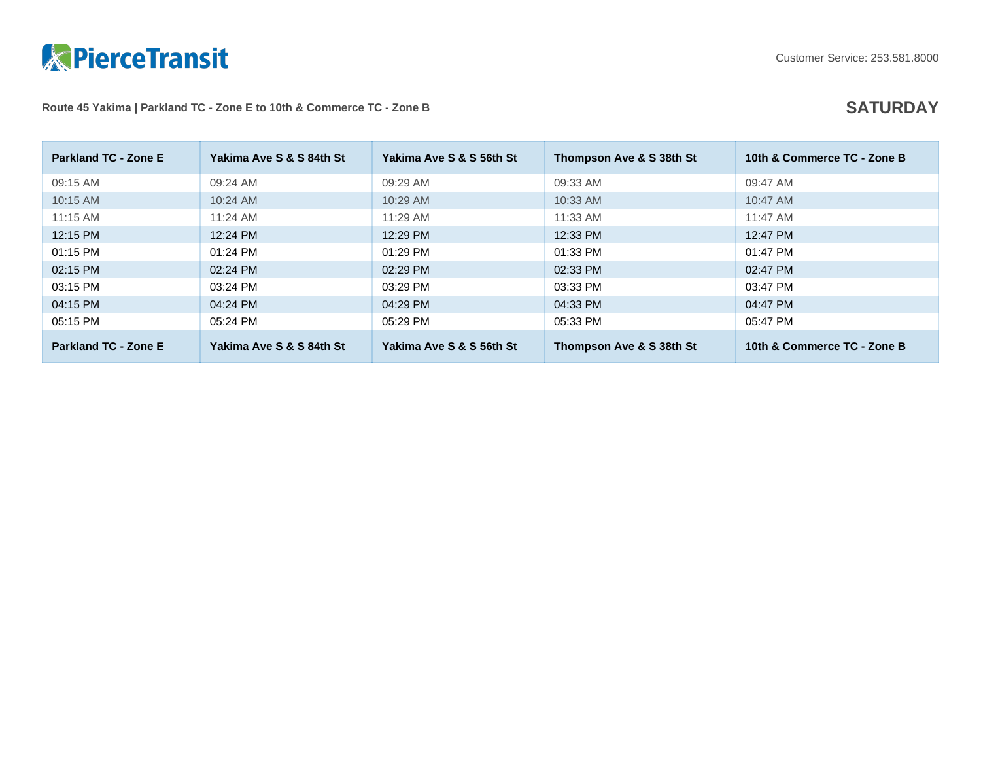

## Route 45 Yakima | Parkland TC - Zone E to 10th & Commerce TC - Zone B **SATURDAY**

| <b>Parkland TC - Zone E</b> | Yakima Ave S & S 84th St | Yakima Ave S & S 56th St | Thompson Ave & S 38th St | 10th & Commerce TC - Zone B |
|-----------------------------|--------------------------|--------------------------|--------------------------|-----------------------------|
| 09:15 AM                    | 09:24 AM                 | 09:29 AM                 | 09:33 AM                 | 09:47 AM                    |
| 10:15 AM                    | $10:24$ AM               | 10:29 AM                 | $10:33$ AM               | 10:47 AM                    |
| $11:15$ AM                  | $11:24$ AM               | $11:29$ AM               | $11:33$ AM               | 11:47 AM                    |
| 12:15 PM                    | 12:24 PM                 | 12:29 PM                 | 12:33 PM                 | 12:47 PM                    |
| 01:15 PM                    | 01:24 PM                 | 01:29 PM                 | 01:33 PM                 | 01:47 PM                    |
| 02:15 PM                    | 02:24 PM                 | 02:29 PM                 | 02:33 PM                 | 02:47 PM                    |
| 03:15 PM                    | 03:24 PM                 | 03:29 PM                 | 03:33 PM                 | 03:47 PM                    |
| 04:15 PM                    | 04:24 PM                 | 04:29 PM                 | 04:33 PM                 | 04:47 PM                    |
| 05:15 PM                    | 05:24 PM                 | 05:29 PM                 | 05:33 PM                 | 05:47 PM                    |
| <b>Parkland TC - Zone E</b> | Yakima Ave S & S 84th St | Yakima Ave S & S 56th St | Thompson Ave & S 38th St | 10th & Commerce TC - Zone B |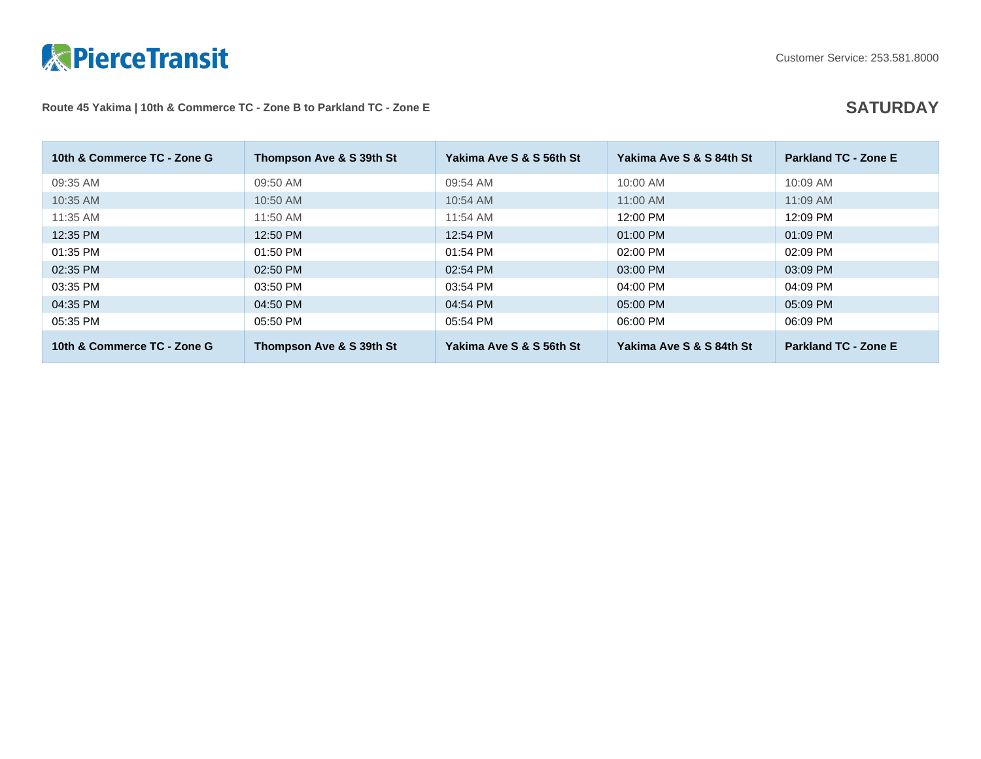

# Route 45 Yakima | 10th & Commerce TC - Zone B to Parkland TC - Zone E **SATURDAY**

| 10th & Commerce TC - Zone G | Thompson Ave & S 39th St | Yakima Ave S & S 56th St | Yakima Ave S & S 84th St | <b>Parkland TC - Zone E</b> |
|-----------------------------|--------------------------|--------------------------|--------------------------|-----------------------------|
| 09:35 AM                    | 09:50 AM                 | 09:54 AM                 | 10:00 AM                 | 10:09 AM                    |
| 10:35 AM                    | 10:50 AM                 | 10:54 AM                 | 11:00 AM                 | $11:09$ AM                  |
| 11:35 AM                    | 11:50 AM                 | 11:54 AM                 | 12:00 PM                 | 12:09 PM                    |
| 12:35 PM                    | 12:50 PM                 | 12:54 PM                 | 01:00 PM                 | 01:09 PM                    |
| 01:35 PM                    | $01:50$ PM               | 01:54 PM                 | $02:00$ PM               | 02:09 PM                    |
| 02:35 PM                    | 02:50 PM                 | 02:54 PM                 | 03:00 PM                 | 03:09 PM                    |
| 03:35 PM                    | 03:50 PM                 | 03:54 PM                 | 04:00 PM                 | 04:09 PM                    |
| 04:35 PM                    | 04:50 PM                 | 04:54 PM                 | 05:00 PM                 | 05:09 PM                    |
| 05:35 PM                    | 05:50 PM                 | 05:54 PM                 | 06:00 PM                 | 06:09 PM                    |
| 10th & Commerce TC - Zone G | Thompson Ave & S 39th St | Yakima Ave S & S 56th St | Yakima Ave S & S 84th St | <b>Parkland TC - Zone E</b> |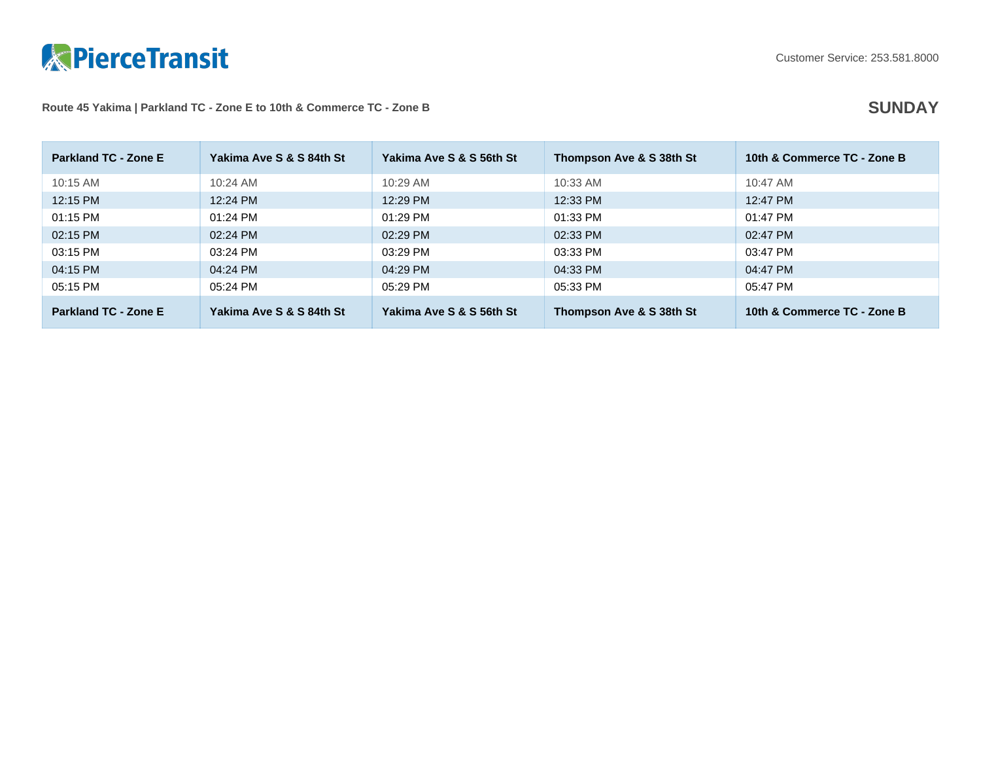

## Route 45 Yakima | Parkland TC - Zone E to 10th & Commerce TC - Zone B **SUNDAY**

| <b>Parkland TC - Zone E</b> | Yakima Ave S & S 84th St | Yakima Ave S & S 56th St | Thompson Ave & S 38th St | 10th & Commerce TC - Zone B |
|-----------------------------|--------------------------|--------------------------|--------------------------|-----------------------------|
| $10:15$ AM                  | $10:24$ AM               | 10:29 AM                 | $10:33$ AM               | $10:47$ AM                  |
| 12:15 PM                    | 12:24 PM                 | 12:29 PM                 | 12:33 PM                 | 12:47 PM                    |
| 01:15 PM                    | $01:24$ PM               | $01:29$ PM               | 01:33 PM                 | 01:47 PM                    |
| 02:15 PM                    | 02:24 PM                 | 02:29 PM                 | 02:33 PM                 | 02:47 PM                    |
| 03:15 PM                    | 03:24 PM                 | 03:29 PM                 | 03:33 PM                 | 03:47 PM                    |
| 04:15 PM                    | 04:24 PM                 | 04:29 PM                 | 04:33 PM                 | 04:47 PM                    |
| 05:15 PM                    | 05:24 PM                 | 05:29 PM                 | 05:33 PM                 | 05:47 PM                    |
| <b>Parkland TC - Zone E</b> | Yakima Ave S & S 84th St | Yakima Ave S & S 56th St | Thompson Ave & S 38th St | 10th & Commerce TC - Zone B |